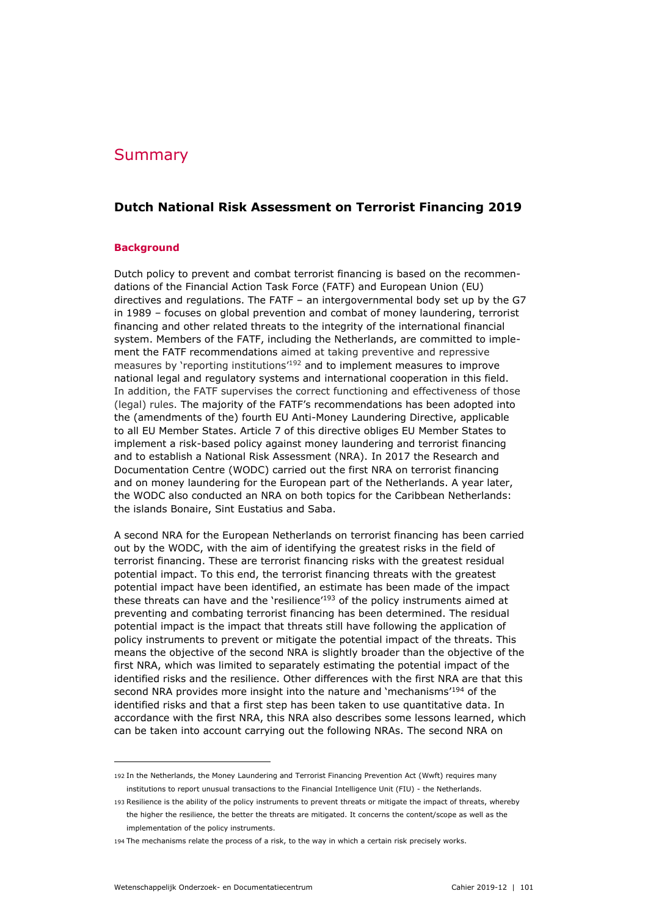# Summary

## **Dutch National Risk Assessment on Terrorist Financing 2019**

## **Background**

Dutch policy to prevent and combat terrorist financing is based on the recommendations of the Financial Action Task Force (FATF) and European Union (EU) directives and regulations. The FATF – an intergovernmental body set up by the G7 in 1989 – focuses on global prevention and combat of money laundering, terrorist financing and other related threats to the integrity of the international financial system. Members of the FATF, including the Netherlands, are committed to implement the FATF recommendations aimed at taking preventive and repressive measures by 'reporting institutions<sup>'192</sup> and to implement measures to improve national legal and regulatory systems and international cooperation in this field. In addition, the FATF supervises the correct functioning and effectiveness of those (legal) rules. The majority of the FATF's recommendations has been adopted into the (amendments of the) fourth EU Anti-Money Laundering Directive, applicable to all EU Member States. Article 7 of this directive obliges EU Member States to implement a risk-based policy against money laundering and terrorist financing and to establish a National Risk Assessment (NRA). In 2017 the Research and Documentation Centre (WODC) carried out the first NRA on terrorist financing and on money laundering for the European part of the Netherlands. A year later, the WODC also conducted an NRA on both topics for the Caribbean Netherlands: the islands Bonaire, Sint Eustatius and Saba.

A second NRA for the European Netherlands on terrorist financing has been carried out by the WODC, with the aim of identifying the greatest risks in the field of terrorist financing. These are terrorist financing risks with the greatest residual potential impact. To this end, the terrorist financing threats with the greatest potential impact have been identified, an estimate has been made of the impact these threats can have and the 'resilience'<sup>193</sup> of the policy instruments aimed at preventing and combating terrorist financing has been determined. The residual potential impact is the impact that threats still have following the application of policy instruments to prevent or mitigate the potential impact of the threats. This means the objective of the second NRA is slightly broader than the objective of the first NRA, which was limited to separately estimating the potential impact of the identified risks and the resilience. Other differences with the first NRA are that this second NRA provides more insight into the nature and 'mechanisms'<sup>194</sup> of the identified risks and that a first step has been taken to use quantitative data. In accordance with the first NRA, this NRA also describes some lessons learned, which can be taken into account carrying out the following NRAs. The second NRA on

ł

<sup>192</sup> In the Netherlands, the Money Laundering and Terrorist Financing Prevention Act (Wwft) requires many institutions to report unusual transactions to the Financial Intelligence Unit (FIU) - the Netherlands.

<sup>193</sup> Resilience is the ability of the policy instruments to prevent threats or mitigate the impact of threats, whereby the higher the resilience, the better the threats are mitigated. It concerns the content/scope as well as the implementation of the policy instruments.

<sup>194</sup> The mechanisms relate the process of a risk, to the way in which a certain risk precisely works.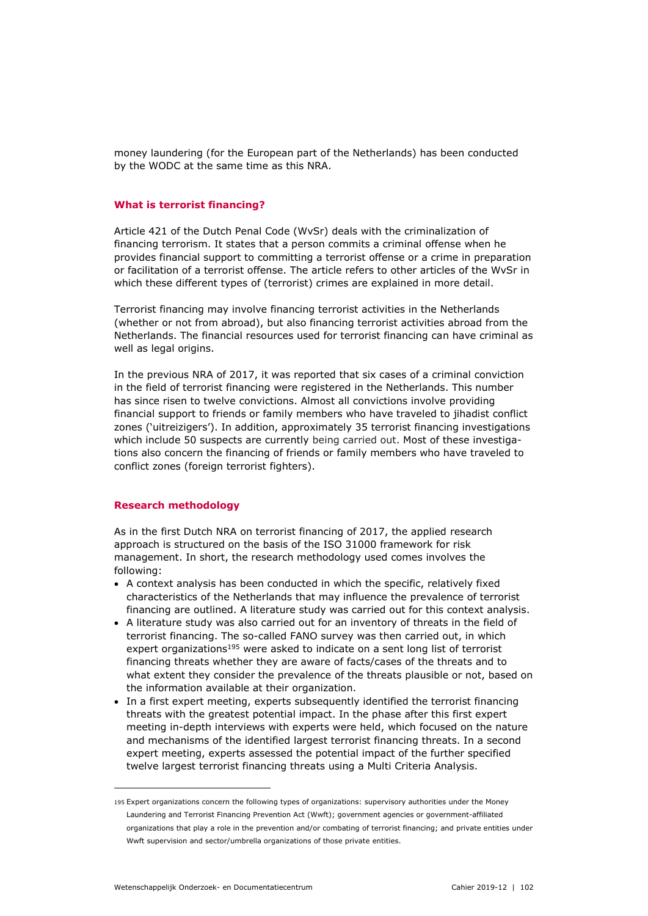money laundering (for the European part of the Netherlands) has been conducted by the WODC at the same time as this NRA.

#### **What is terrorist financing?**

Article 421 of the Dutch Penal Code (WvSr) deals with the criminalization of financing terrorism. It states that a person commits a criminal offense when he provides financial support to committing a terrorist offense or a crime in preparation or facilitation of a terrorist offense. The article refers to other articles of the WvSr in which these different types of (terrorist) crimes are explained in more detail.

Terrorist financing may involve financing terrorist activities in the Netherlands (whether or not from abroad), but also financing terrorist activities abroad from the Netherlands. The financial resources used for terrorist financing can have criminal as well as legal origins.

In the previous NRA of 2017, it was reported that six cases of a criminal conviction in the field of terrorist financing were registered in the Netherlands. This number has since risen to twelve convictions. Almost all convictions involve providing financial support to friends or family members who have traveled to jihadist conflict zones ('uitreizigers'). In addition, approximately 35 terrorist financing investigations which include 50 suspects are currently being carried out. Most of these investigations also concern the financing of friends or family members who have traveled to conflict zones (foreign terrorist fighters).

#### **Research methodology**

As in the first Dutch NRA on terrorist financing of 2017, the applied research approach is structured on the basis of the ISO 31000 framework for risk management. In short, the research methodology used comes involves the following:

- A context analysis has been conducted in which the specific, relatively fixed characteristics of the Netherlands that may influence the prevalence of terrorist financing are outlined. A literature study was carried out for this context analysis.
- A literature study was also carried out for an inventory of threats in the field of terrorist financing. The so-called FANO survey was then carried out, in which expert organizations<sup>195</sup> were asked to indicate on a sent long list of terrorist financing threats whether they are aware of facts/cases of the threats and to what extent they consider the prevalence of the threats plausible or not, based on the information available at their organization.
- In a first expert meeting, experts subsequently identified the terrorist financing threats with the greatest potential impact. In the phase after this first expert meeting in-depth interviews with experts were held, which focused on the nature and mechanisms of the identified largest terrorist financing threats. In a second expert meeting, experts assessed the potential impact of the further specified twelve largest terrorist financing threats using a Multi Criteria Analysis.

ł

<sup>195</sup> Expert organizations concern the following types of organizations: supervisory authorities under the Money Laundering and Terrorist Financing Prevention Act (Wwft); government agencies or government-affiliated organizations that play a role in the prevention and/or combating of terrorist financing; and private entities under Wwft supervision and sector/umbrella organizations of those private entities.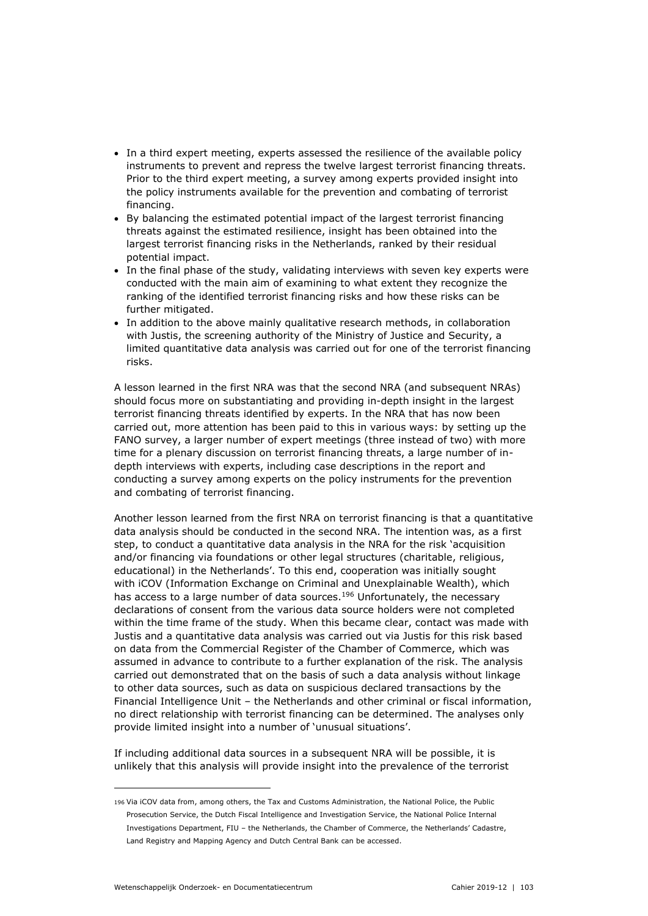- In a third expert meeting, experts assessed the resilience of the available policy instruments to prevent and repress the twelve largest terrorist financing threats. Prior to the third expert meeting, a survey among experts provided insight into the policy instruments available for the prevention and combating of terrorist financing.
- By balancing the estimated potential impact of the largest terrorist financing threats against the estimated resilience, insight has been obtained into the largest terrorist financing risks in the Netherlands, ranked by their residual potential impact.
- In the final phase of the study, validating interviews with seven key experts were conducted with the main aim of examining to what extent they recognize the ranking of the identified terrorist financing risks and how these risks can be further mitigated.
- In addition to the above mainly qualitative research methods, in collaboration with Justis, the screening authority of the Ministry of Justice and Security, a limited quantitative data analysis was carried out for one of the terrorist financing risks.

A lesson learned in the first NRA was that the second NRA (and subsequent NRAs) should focus more on substantiating and providing in-depth insight in the largest terrorist financing threats identified by experts. In the NRA that has now been carried out, more attention has been paid to this in various ways: by setting up the FANO survey, a larger number of expert meetings (three instead of two) with more time for a plenary discussion on terrorist financing threats, a large number of indepth interviews with experts, including case descriptions in the report and conducting a survey among experts on the policy instruments for the prevention and combating of terrorist financing.

Another lesson learned from the first NRA on terrorist financing is that a quantitative data analysis should be conducted in the second NRA. The intention was, as a first step, to conduct a quantitative data analysis in the NRA for the risk 'acquisition and/or financing via foundations or other legal structures (charitable, religious, educational) in the Netherlands'. To this end, cooperation was initially sought with iCOV (Information Exchange on Criminal and Unexplainable Wealth), which has access to a large number of data sources.<sup>196</sup> Unfortunately, the necessary declarations of consent from the various data source holders were not completed within the time frame of the study. When this became clear, contact was made with Justis and a quantitative data analysis was carried out via Justis for this risk based on data from the Commercial Register of the Chamber of Commerce, which was assumed in advance to contribute to a further explanation of the risk. The analysis carried out demonstrated that on the basis of such a data analysis without linkage to other data sources, such as data on suspicious declared transactions by the Financial Intelligence Unit – the Netherlands and other criminal or fiscal information, no direct relationship with terrorist financing can be determined. The analyses only provide limited insight into a number of 'unusual situations'.

If including additional data sources in a subsequent NRA will be possible, it is unlikely that this analysis will provide insight into the prevalence of the terrorist

ł

<sup>196</sup> Via iCOV data from, among others, the Tax and Customs Administration, the National Police, the Public Prosecution Service, the Dutch Fiscal Intelligence and Investigation Service, the National Police Internal Investigations Department, FIU – the Netherlands, the Chamber of Commerce, the Netherlands' Cadastre, Land Registry and Mapping Agency and Dutch Central Bank can be accessed.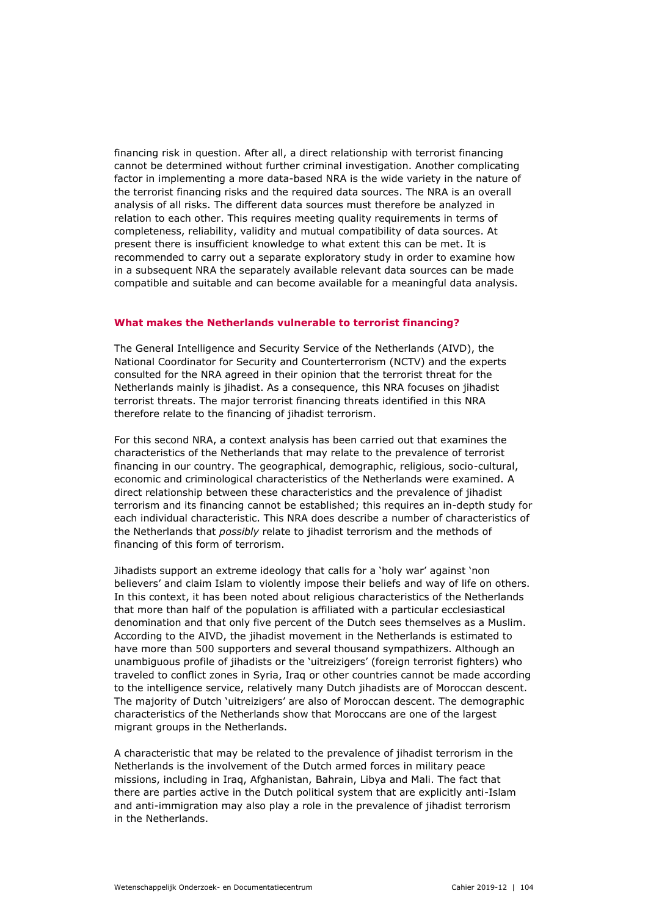financing risk in question. After all, a direct relationship with terrorist financing cannot be determined without further criminal investigation. Another complicating factor in implementing a more data-based NRA is the wide variety in the nature of the terrorist financing risks and the required data sources. The NRA is an overall analysis of all risks. The different data sources must therefore be analyzed in relation to each other. This requires meeting quality requirements in terms of completeness, reliability, validity and mutual compatibility of data sources. At present there is insufficient knowledge to what extent this can be met. It is recommended to carry out a separate exploratory study in order to examine how in a subsequent NRA the separately available relevant data sources can be made compatible and suitable and can become available for a meaningful data analysis.

#### **What makes the Netherlands vulnerable to terrorist financing?**

The General Intelligence and Security Service of the Netherlands (AIVD), the National Coordinator for Security and Counterterrorism (NCTV) and the experts consulted for the NRA agreed in their opinion that the terrorist threat for the Netherlands mainly is jihadist. As a consequence, this NRA focuses on jihadist terrorist threats. The major terrorist financing threats identified in this NRA therefore relate to the financing of jihadist terrorism.

For this second NRA, a context analysis has been carried out that examines the characteristics of the Netherlands that may relate to the prevalence of terrorist financing in our country. The geographical, demographic, religious, socio-cultural, economic and criminological characteristics of the Netherlands were examined. A direct relationship between these characteristics and the prevalence of jihadist terrorism and its financing cannot be established; this requires an in-depth study for each individual characteristic. This NRA does describe a number of characteristics of the Netherlands that *possibly* relate to jihadist terrorism and the methods of financing of this form of terrorism.

Jihadists support an extreme ideology that calls for a 'holy war' against 'non believers' and claim Islam to violently impose their beliefs and way of life on others. In this context, it has been noted about religious characteristics of the Netherlands that more than half of the population is affiliated with a particular ecclesiastical denomination and that only five percent of the Dutch sees themselves as a Muslim. According to the AIVD, the jihadist movement in the Netherlands is estimated to have more than 500 supporters and several thousand sympathizers. Although an unambiguous profile of jihadists or the 'uitreizigers' (foreign terrorist fighters) who traveled to conflict zones in Syria, Iraq or other countries cannot be made according to the intelligence service, relatively many Dutch jihadists are of Moroccan descent. The majority of Dutch 'uitreizigers' are also of Moroccan descent. The demographic characteristics of the Netherlands show that Moroccans are one of the largest migrant groups in the Netherlands.

A characteristic that may be related to the prevalence of jihadist terrorism in the Netherlands is the involvement of the Dutch armed forces in military peace missions, including in Iraq, Afghanistan, Bahrain, Libya and Mali. The fact that there are parties active in the Dutch political system that are explicitly anti-Islam and anti-immigration may also play a role in the prevalence of jihadist terrorism in the Netherlands.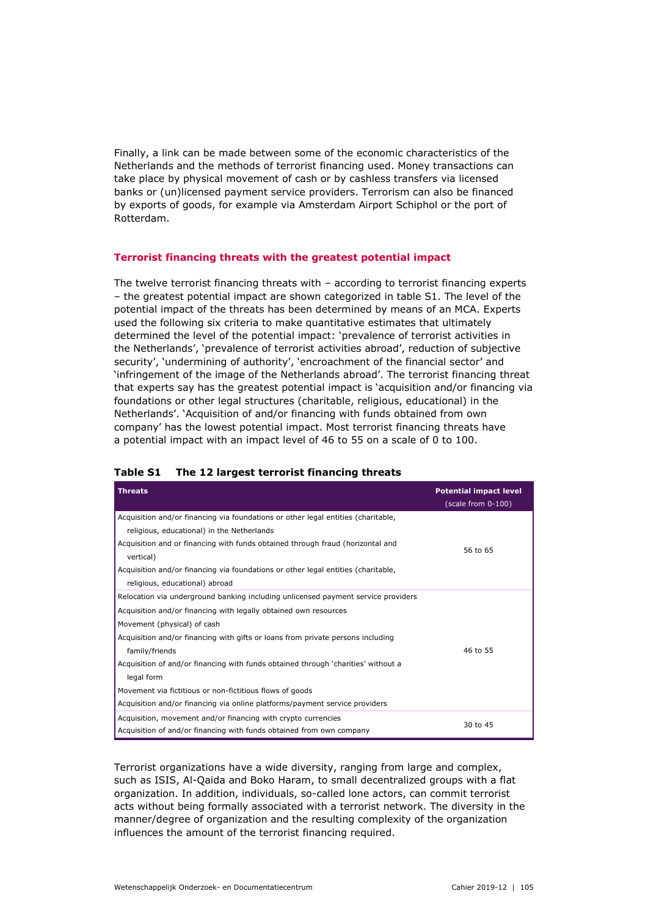Finally, a link can be made between some of the economic characteristics of the Netherlands and the methods of terrorist financing used. Money transactions can take place by physical movement of cash or by cashless transfers via licensed banks or (un)licensed payment service providers. Terrorism can also be financed by exports of goods, for example via Amsterdam Airport Schiphol or the port of Rotterdam.

## **Terrorist financing threats with the greatest potential impact**

The twelve terrorist financing threats with  $-$  according to terrorist financing experts – the greatest potential impact are shown categorized in table S1. The level of the potential impact of the threats has been determined by means of an MCA. Experts used the following six criteria to make quantitative estimates that ultimately determined the level of the potential impact: 'prevalence of terrorist activities in the Netherlands', 'prevalence of terrorist activities abroad', reduction of subjective security', 'undermining of authority', 'encroachment of the financial sector' and 'infringement of the image of the Netherlands abroad'. The terrorist financing threat that experts say has the greatest potential impact is 'acquisition and/or financing via foundations or other legal structures (charitable, religious, educational) in the Netherlands'. 'Acquisition of and/or financing with funds obtained from own company' has the lowest potential impact. Most terrorist financing threats have a potential impact with an impact level of 46 to 55 on a scale of 0 to 100.

| <b>Threats</b>                                                                              | <b>Potential impact level</b><br>(scale from 0-100) |
|---------------------------------------------------------------------------------------------|-----------------------------------------------------|
| Acquisition and/or financing via foundations or other legal entities (charitable,           |                                                     |
| religious, educational) in the Netherlands                                                  |                                                     |
| Acquisition and or financing with funds obtained through fraud (horizontal and<br>vertical) | 56 to 65                                            |
| Acquisition and/or financing via foundations or other legal entities (charitable,           |                                                     |
| religious, educational) abroad                                                              |                                                     |
| Relocation via underground banking including unlicensed payment service providers           |                                                     |
| Acquisition and/or financing with legally obtained own resources                            |                                                     |
| Movement (physical) of cash                                                                 |                                                     |
| Acquisition and/or financing with gifts or loans from private persons including             |                                                     |
| family/friends                                                                              | 46 to 55                                            |
| Acquisition of and/or financing with funds obtained through 'charities' without a           |                                                     |
| legal form                                                                                  |                                                     |
| Movement via fictitious or non-fictitious flows of goods                                    |                                                     |
| Acquisition and/or financing via online platforms/payment service providers                 |                                                     |
| Acquisition, movement and/or financing with crypto currencies                               | 30 to 45                                            |
| Acquisition of and/or financing with funds obtained from own company                        |                                                     |

#### **Table S1 The 12 largest terrorist financing threats**

Terrorist organizations have a wide diversity, ranging from large and complex, such as ISIS, Al-Qaida and Boko Haram, to small decentralized groups with a flat organization. In addition, individuals, so-called lone actors, can commit terrorist acts without being formally associated with a terrorist network. The diversity in the manner/degree of organization and the resulting complexity of the organization influences the amount of the terrorist financing required.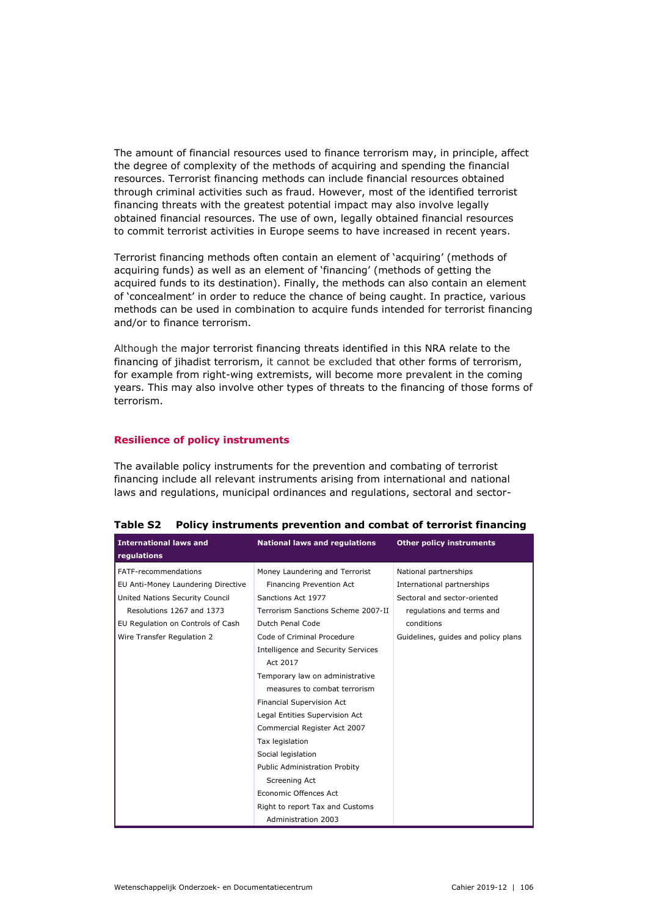The amount of financial resources used to finance terrorism may, in principle, affect the degree of complexity of the methods of acquiring and spending the financial resources. Terrorist financing methods can include financial resources obtained through criminal activities such as fraud. However, most of the identified terrorist financing threats with the greatest potential impact may also involve legally obtained financial resources. The use of own, legally obtained financial resources to commit terrorist activities in Europe seems to have increased in recent years.

Terrorist financing methods often contain an element of 'acquiring' (methods of acquiring funds) as well as an element of 'financing' (methods of getting the acquired funds to its destination). Finally, the methods can also contain an element of 'concealment' in order to reduce the chance of being caught. In practice, various methods can be used in combination to acquire funds intended for terrorist financing and/or to finance terrorism.

Although the major terrorist financing threats identified in this NRA relate to the financing of jihadist terrorism, it cannot be excluded that other forms of terrorism, for example from right-wing extremists, will become more prevalent in the coming years. This may also involve other types of threats to the financing of those forms of terrorism.

## **Resilience of policy instruments**

The available policy instruments for the prevention and combating of terrorist financing include all relevant instruments arising from international and national laws and regulations, municipal ordinances and regulations, sectoral and sector-

| <b>International laws and</b><br>regulations | <b>National laws and regulations</b> | <b>Other policy instruments</b>     |
|----------------------------------------------|--------------------------------------|-------------------------------------|
| FATF-recommendations                         | Money Laundering and Terrorist       | National partnerships               |
| EU Anti-Money Laundering Directive           | Financing Prevention Act             | International partnerships          |
| United Nations Security Council              | Sanctions Act 1977                   | Sectoral and sector-oriented        |
| Resolutions 1267 and 1373                    | Terrorism Sanctions Scheme 2007-II   | regulations and terms and           |
| EU Regulation on Controls of Cash            | Dutch Penal Code                     | conditions                          |
| Wire Transfer Regulation 2                   | Code of Criminal Procedure           | Guidelines, quides and policy plans |
|                                              | Intelligence and Security Services   |                                     |
|                                              | Act 2017                             |                                     |
|                                              | Temporary law on administrative      |                                     |
|                                              | measures to combat terrorism         |                                     |
|                                              | Financial Supervision Act            |                                     |
|                                              | Legal Entities Supervision Act       |                                     |
|                                              | Commercial Register Act 2007         |                                     |
|                                              | Tax legislation                      |                                     |
|                                              | Social legislation                   |                                     |
|                                              | Public Administration Probity        |                                     |
|                                              | Screening Act                        |                                     |
|                                              | Economic Offences Act                |                                     |
|                                              | Right to report Tax and Customs      |                                     |
|                                              | Administration 2003                  |                                     |

|  | Table S2 Policy instruments prevention and combat of terrorist financing |  |  |  |
|--|--------------------------------------------------------------------------|--|--|--|
|--|--------------------------------------------------------------------------|--|--|--|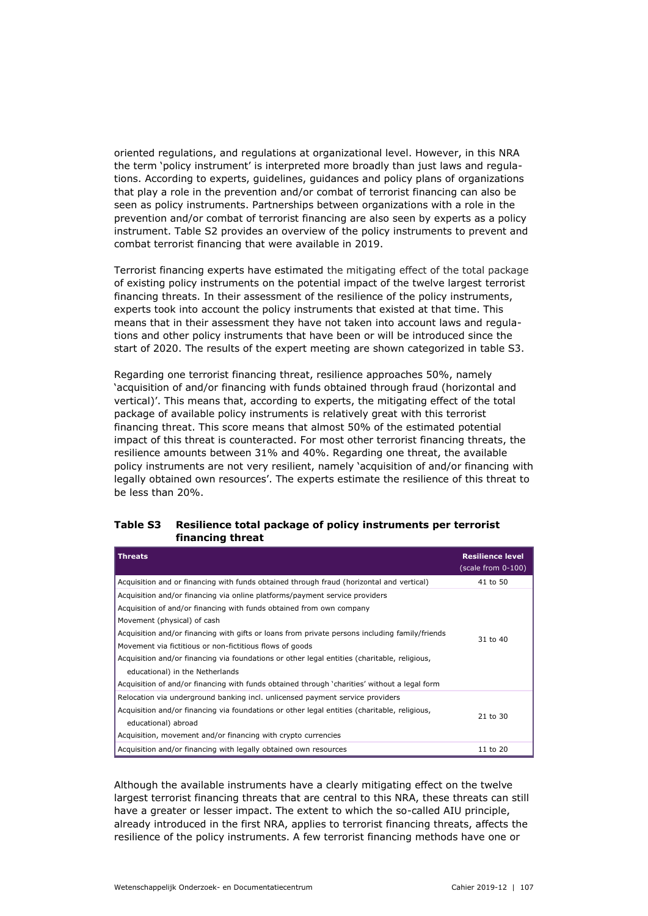oriented regulations, and regulations at organizational level. However, in this NRA the term 'policy instrument' is interpreted more broadly than just laws and regulations. According to experts, guidelines, guidances and policy plans of organizations that play a role in the prevention and/or combat of terrorist financing can also be seen as policy instruments. Partnerships between organizations with a role in the prevention and/or combat of terrorist financing are also seen by experts as a policy instrument. Table S2 provides an overview of the policy instruments to prevent and combat terrorist financing that were available in 2019.

Terrorist financing experts have estimated the mitigating effect of the total package of existing policy instruments on the potential impact of the twelve largest terrorist financing threats. In their assessment of the resilience of the policy instruments, experts took into account the policy instruments that existed at that time. This means that in their assessment they have not taken into account laws and regulations and other policy instruments that have been or will be introduced since the start of 2020. The results of the expert meeting are shown categorized in table S3.

Regarding one terrorist financing threat, resilience approaches 50%, namely 'acquisition of and/or financing with funds obtained through fraud (horizontal and vertical)'. This means that, according to experts, the mitigating effect of the total package of available policy instruments is relatively great with this terrorist financing threat. This score means that almost 50% of the estimated potential impact of this threat is counteracted. For most other terrorist financing threats, the resilience amounts between 31% and 40%. Regarding one threat, the available policy instruments are not very resilient, namely 'acquisition of and/or financing with legally obtained own resources'. The experts estimate the resilience of this threat to be less than 20%.

| Table S3 | Resilience total package of policy instruments per terrorist |
|----------|--------------------------------------------------------------|
|          | financing threat                                             |

| <b>Threats</b>                                                                                                                                                                                                                                                                                                                                                                                                                                                                                                                                                                      | <b>Resilience level</b><br>(scale from 0-100) |
|-------------------------------------------------------------------------------------------------------------------------------------------------------------------------------------------------------------------------------------------------------------------------------------------------------------------------------------------------------------------------------------------------------------------------------------------------------------------------------------------------------------------------------------------------------------------------------------|-----------------------------------------------|
| Acquisition and or financing with funds obtained through fraud (horizontal and vertical)                                                                                                                                                                                                                                                                                                                                                                                                                                                                                            | 41 to 50                                      |
| Acquisition and/or financing via online platforms/payment service providers<br>Acquisition of and/or financing with funds obtained from own company<br>Movement (physical) of cash<br>Acquisition and/or financing with gifts or loans from private persons including family/friends<br>Movement via fictitious or non-fictitious flows of goods<br>Acquisition and/or financing via foundations or other legal entities (charitable, religious,<br>educational) in the Netherlands<br>Acquisition of and/or financing with funds obtained through 'charities' without a legal form | 31 to 40                                      |
| Relocation via underground banking incl. unlicensed payment service providers<br>Acquisition and/or financing via foundations or other legal entities (charitable, religious,<br>educational) abroad<br>Acquisition, movement and/or financing with crypto currencies                                                                                                                                                                                                                                                                                                               | 21 to 30                                      |
| Acquisition and/or financing with legally obtained own resources                                                                                                                                                                                                                                                                                                                                                                                                                                                                                                                    | 11 to 20                                      |

Although the available instruments have a clearly mitigating effect on the twelve largest terrorist financing threats that are central to this NRA, these threats can still have a greater or lesser impact. The extent to which the so-called AIU principle, already introduced in the first NRA, applies to terrorist financing threats, affects the resilience of the policy instruments. A few terrorist financing methods have one or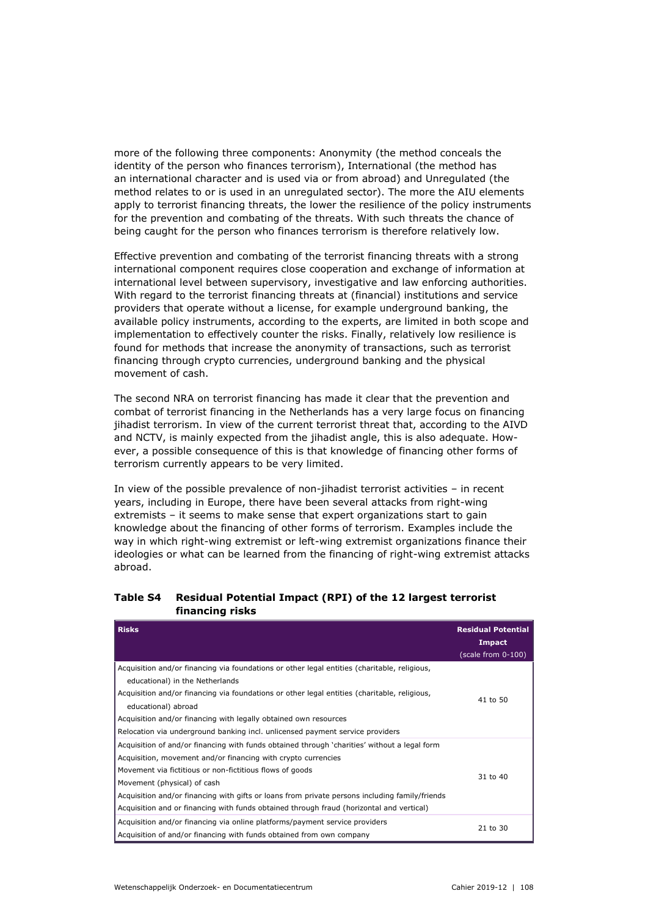more of the following three components: Anonymity (the method conceals the identity of the person who finances terrorism), International (the method has an international character and is used via or from abroad) and Unregulated (the method relates to or is used in an unregulated sector). The more the AIU elements apply to terrorist financing threats, the lower the resilience of the policy instruments for the prevention and combating of the threats. With such threats the chance of being caught for the person who finances terrorism is therefore relatively low.

Effective prevention and combating of the terrorist financing threats with a strong international component requires close cooperation and exchange of information at international level between supervisory, investigative and law enforcing authorities. With regard to the terrorist financing threats at (financial) institutions and service providers that operate without a license, for example underground banking, the available policy instruments, according to the experts, are limited in both scope and implementation to effectively counter the risks. Finally, relatively low resilience is found for methods that increase the anonymity of transactions, such as terrorist financing through crypto currencies, underground banking and the physical movement of cash.

The second NRA on terrorist financing has made it clear that the prevention and combat of terrorist financing in the Netherlands has a very large focus on financing jihadist terrorism. In view of the current terrorist threat that, according to the AIVD and NCTV, is mainly expected from the jihadist angle, this is also adequate. However, a possible consequence of this is that knowledge of financing other forms of terrorism currently appears to be very limited.

In view of the possible prevalence of non-jihadist terrorist activities – in recent years, including in Europe, there have been several attacks from right-wing extremists – it seems to make sense that expert organizations start to gain knowledge about the financing of other forms of terrorism. Examples include the way in which right-wing extremist or left-wing extremist organizations finance their ideologies or what can be learned from the financing of right-wing extremist attacks abroad.

## **Table S4 Residual Potential Impact (RPI) of the 12 largest terrorist financing risks**

| <b>Risks</b>                                                                                   | <b>Residual Potential</b><br>Impact |
|------------------------------------------------------------------------------------------------|-------------------------------------|
|                                                                                                | (scale from 0-100)                  |
| Acquisition and/or financing via foundations or other legal entities (charitable, religious,   |                                     |
| educational) in the Netherlands                                                                |                                     |
| Acquisition and/or financing via foundations or other legal entities (charitable, religious,   | 41 to 50                            |
| educational) abroad                                                                            |                                     |
| Acquisition and/or financing with legally obtained own resources                               |                                     |
| Relocation via underground banking incl. unlicensed payment service providers                  |                                     |
| Acquisition of and/or financing with funds obtained through 'charities' without a legal form   |                                     |
| Acquisition, movement and/or financing with crypto currencies                                  |                                     |
| Movement via fictitious or non-fictitious flows of goods                                       |                                     |
| Movement (physical) of cash                                                                    | 31 to 40                            |
| Acquisition and/or financing with gifts or loans from private persons including family/friends |                                     |
| Acquisition and or financing with funds obtained through fraud (horizontal and vertical)       |                                     |
| Acquisition and/or financing via online platforms/payment service providers                    |                                     |
| Acquisition of and/or financing with funds obtained from own company                           | 21 to 30                            |